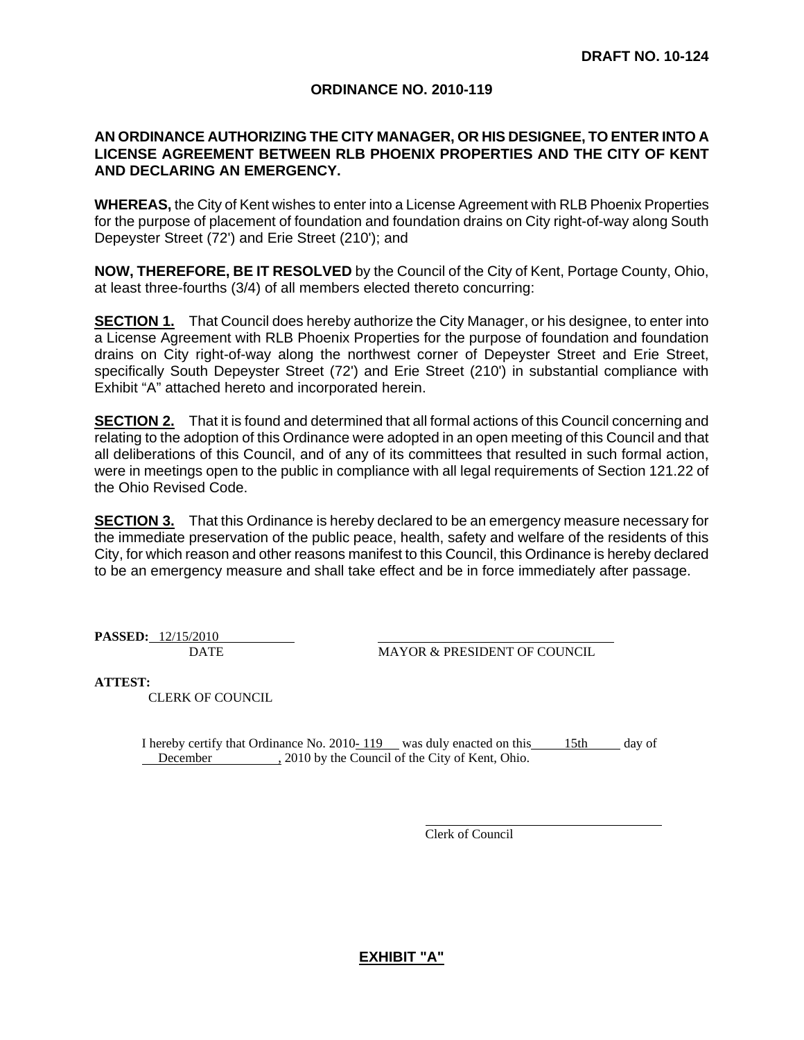#### **ORDINANCE NO. 2010-119**

#### **AN ORDINANCE AUTHORIZING THE CITY MANAGER, OR HIS DESIGNEE, TO ENTER INTO A LICENSE AGREEMENT BETWEEN RLB PHOENIX PROPERTIES AND THE CITY OF KENT AND DECLARING AN EMERGENCY.**

**WHEREAS,** the City of Kent wishes to enter into a License Agreement with RLB Phoenix Properties for the purpose of placement of foundation and foundation drains on City right-of-way along South Depeyster Street (72') and Erie Street (210'); and

**NOW, THEREFORE, BE IT RESOLVED** by the Council of the City of Kent, Portage County, Ohio, at least three-fourths (3/4) of all members elected thereto concurring:

**SECTION 1.** That Council does hereby authorize the City Manager, or his designee, to enter into a License Agreement with RLB Phoenix Properties for the purpose of foundation and foundation drains on City right-of-way along the northwest corner of Depeyster Street and Erie Street, specifically South Depeyster Street (72') and Erie Street (210') in substantial compliance with Exhibit "A" attached hereto and incorporated herein.

**SECTION 2.** That it is found and determined that all formal actions of this Council concerning and relating to the adoption of this Ordinance were adopted in an open meeting of this Council and that all deliberations of this Council, and of any of its committees that resulted in such formal action, were in meetings open to the public in compliance with all legal requirements of Section 121.22 of the Ohio Revised Code.

**SECTION 3.** That this Ordinance is hereby declared to be an emergency measure necessary for the immediate preservation of the public peace, health, safety and welfare of the residents of this City, for which reason and other reasons manifest to this Council, this Ordinance is hereby declared to be an emergency measure and shall take effect and be in force immediately after passage.

**PASSED:** 12/15/2010

DATE MAYOR & PRESIDENT OF COUNCIL

**ATTEST:**

CLERK OF COUNCIL

I hereby certify that Ordinance No. 2010-119 was duly enacted on this 15th day of December 2010 by the Council of the City of Kent, Ohio.

Clerk of Council

#### **EXHIBIT "A"**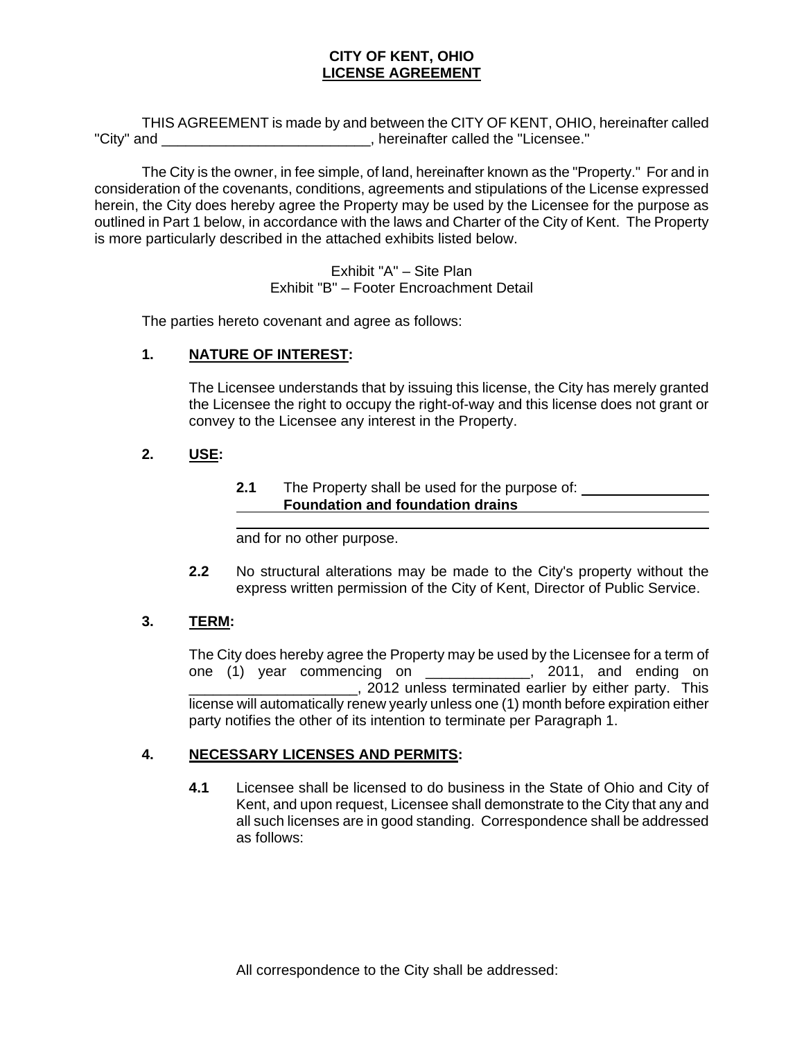#### **CITY OF KENT, OHIO LICENSE AGREEMENT**

 THIS AGREEMENT is made by and between the CITY OF KENT, OHIO, hereinafter called "City" and \_\_\_\_\_\_\_\_\_\_\_\_\_\_\_\_\_\_\_\_\_\_\_\_\_\_, hereinafter called the "Licensee."

 The City is the owner, in fee simple, of land, hereinafter known as the "Property." For and in consideration of the covenants, conditions, agreements and stipulations of the License expressed herein, the City does hereby agree the Property may be used by the Licensee for the purpose as outlined in Part 1 below, in accordance with the laws and Charter of the City of Kent. The Property is more particularly described in the attached exhibits listed below.

> Exhibit "A" – Site Plan Exhibit "B" – Footer Encroachment Detail

The parties hereto covenant and agree as follows:

#### **1. NATURE OF INTEREST:**

 $\overline{a}$ 

The Licensee understands that by issuing this license, the City has merely granted the Licensee the right to occupy the right-of-way and this license does not grant or convey to the Licensee any interest in the Property.

## **2. USE:**

#### **2.1** The Property shall be used for the purpose of: **Foundation and foundation drains**

and for no other purpose.

**2.2** No structural alterations may be made to the City's property without the express written permission of the City of Kent, Director of Public Service.

## **3. TERM:**

The City does hereby agree the Property may be used by the Licensee for a term of one (1) year commencing on \_\_\_\_\_\_\_\_\_\_\_\_\_, 2011, and ending on \_\_\_\_\_\_\_\_\_\_\_\_\_\_\_\_\_\_\_\_\_, 2012 unless terminated earlier by either party. This license will automatically renew yearly unless one (1) month before expiration either party notifies the other of its intention to terminate per Paragraph 1.

## **4. NECESSARY LICENSES AND PERMITS:**

**4.1** Licensee shall be licensed to do business in the State of Ohio and City of Kent, and upon request, Licensee shall demonstrate to the City that any and all such licenses are in good standing. Correspondence shall be addressed as follows: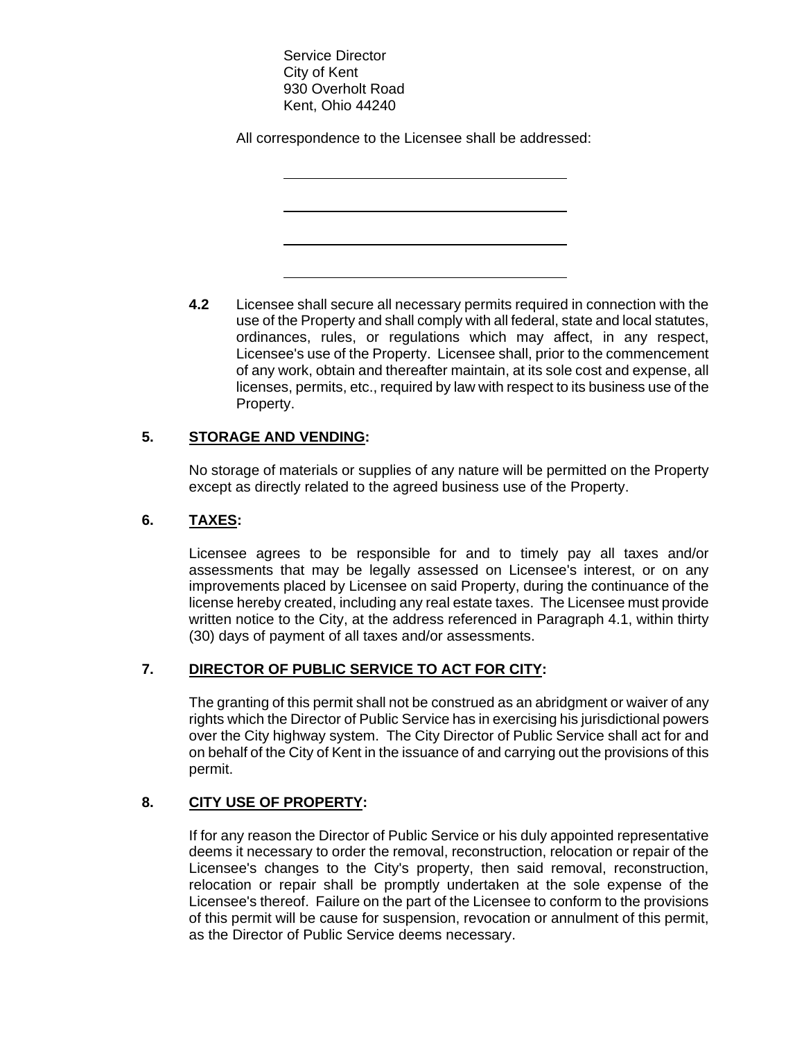Service Director City of Kent 930 Overholt Road Kent, Ohio 44240

 $\overline{a}$ 

 $\overline{a}$ 

 $\overline{a}$ 

 $\overline{a}$ 

All correspondence to the Licensee shall be addressed:

**4.2** Licensee shall secure all necessary permits required in connection with the use of the Property and shall comply with all federal, state and local statutes, ordinances, rules, or regulations which may affect, in any respect, Licensee's use of the Property. Licensee shall, prior to the commencement of any work, obtain and thereafter maintain, at its sole cost and expense, all licenses, permits, etc., required by law with respect to its business use of the Property.

## **5. STORAGE AND VENDING:**

No storage of materials or supplies of any nature will be permitted on the Property except as directly related to the agreed business use of the Property.

## **6. TAXES:**

Licensee agrees to be responsible for and to timely pay all taxes and/or assessments that may be legally assessed on Licensee's interest, or on any improvements placed by Licensee on said Property, during the continuance of the license hereby created, including any real estate taxes. The Licensee must provide written notice to the City, at the address referenced in Paragraph 4.1, within thirty (30) days of payment of all taxes and/or assessments.

## **7. DIRECTOR OF PUBLIC SERVICE TO ACT FOR CITY:**

The granting of this permit shall not be construed as an abridgment or waiver of any rights which the Director of Public Service has in exercising his jurisdictional powers over the City highway system. The City Director of Public Service shall act for and on behalf of the City of Kent in the issuance of and carrying out the provisions of this permit.

## **8. CITY USE OF PROPERTY:**

If for any reason the Director of Public Service or his duly appointed representative deems it necessary to order the removal, reconstruction, relocation or repair of the Licensee's changes to the City's property, then said removal, reconstruction, relocation or repair shall be promptly undertaken at the sole expense of the Licensee's thereof. Failure on the part of the Licensee to conform to the provisions of this permit will be cause for suspension, revocation or annulment of this permit, as the Director of Public Service deems necessary.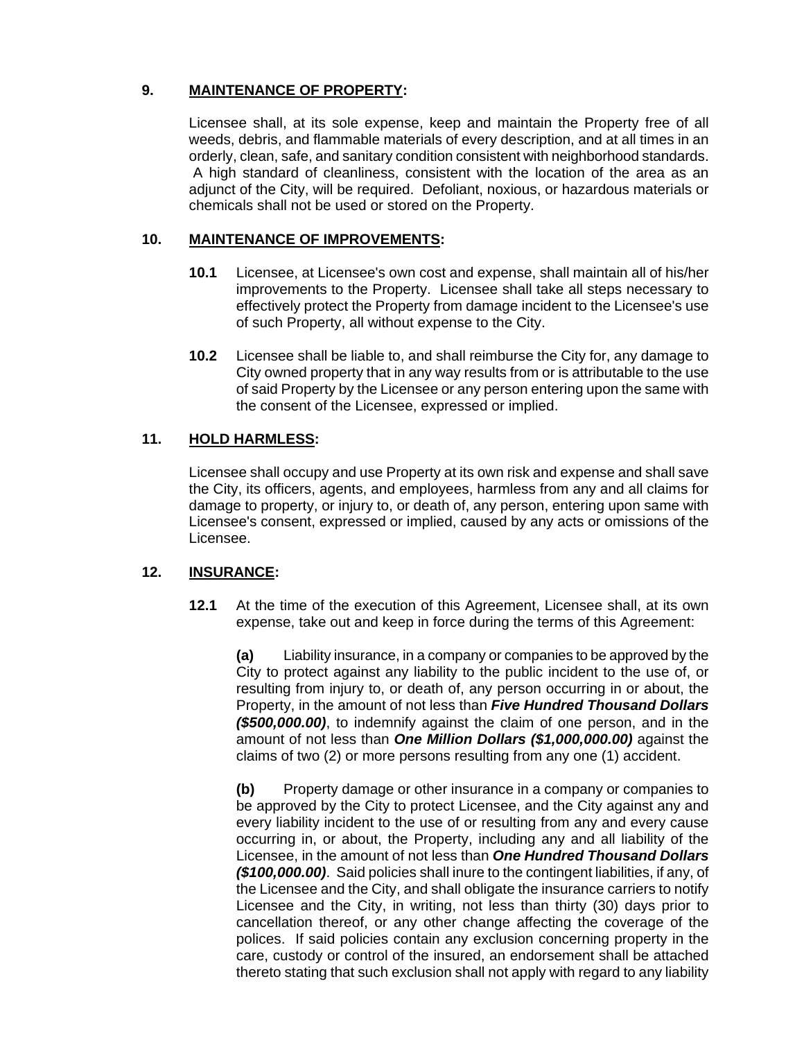## **9. MAINTENANCE OF PROPERTY:**

Licensee shall, at its sole expense, keep and maintain the Property free of all weeds, debris, and flammable materials of every description, and at all times in an orderly, clean, safe, and sanitary condition consistent with neighborhood standards. A high standard of cleanliness, consistent with the location of the area as an adjunct of the City, will be required. Defoliant, noxious, or hazardous materials or chemicals shall not be used or stored on the Property.

#### **10. MAINTENANCE OF IMPROVEMENTS:**

- **10.1** Licensee, at Licensee's own cost and expense, shall maintain all of his/her improvements to the Property. Licensee shall take all steps necessary to effectively protect the Property from damage incident to the Licensee's use of such Property, all without expense to the City.
- **10.2** Licensee shall be liable to, and shall reimburse the City for, any damage to City owned property that in any way results from or is attributable to the use of said Property by the Licensee or any person entering upon the same with the consent of the Licensee, expressed or implied.

## **11. HOLD HARMLESS:**

Licensee shall occupy and use Property at its own risk and expense and shall save the City, its officers, agents, and employees, harmless from any and all claims for damage to property, or injury to, or death of, any person, entering upon same with Licensee's consent, expressed or implied, caused by any acts or omissions of the Licensee.

#### **12. INSURANCE:**

**12.1** At the time of the execution of this Agreement, Licensee shall, at its own expense, take out and keep in force during the terms of this Agreement:

**(a)** Liability insurance, in a company or companies to be approved by the City to protect against any liability to the public incident to the use of, or resulting from injury to, or death of, any person occurring in or about, the Property, in the amount of not less than *Five Hundred Thousand Dollars (\$500,000.00)*, to indemnify against the claim of one person, and in the amount of not less than *One Million Dollars (\$1,000,000.00)* against the claims of two (2) or more persons resulting from any one (1) accident.

**(b)** Property damage or other insurance in a company or companies to be approved by the City to protect Licensee, and the City against any and every liability incident to the use of or resulting from any and every cause occurring in, or about, the Property, including any and all liability of the Licensee, in the amount of not less than *One Hundred Thousand Dollars (\$100,000.00)*. Said policies shall inure to the contingent liabilities, if any, of the Licensee and the City, and shall obligate the insurance carriers to notify Licensee and the City, in writing, not less than thirty (30) days prior to cancellation thereof, or any other change affecting the coverage of the polices. If said policies contain any exclusion concerning property in the care, custody or control of the insured, an endorsement shall be attached thereto stating that such exclusion shall not apply with regard to any liability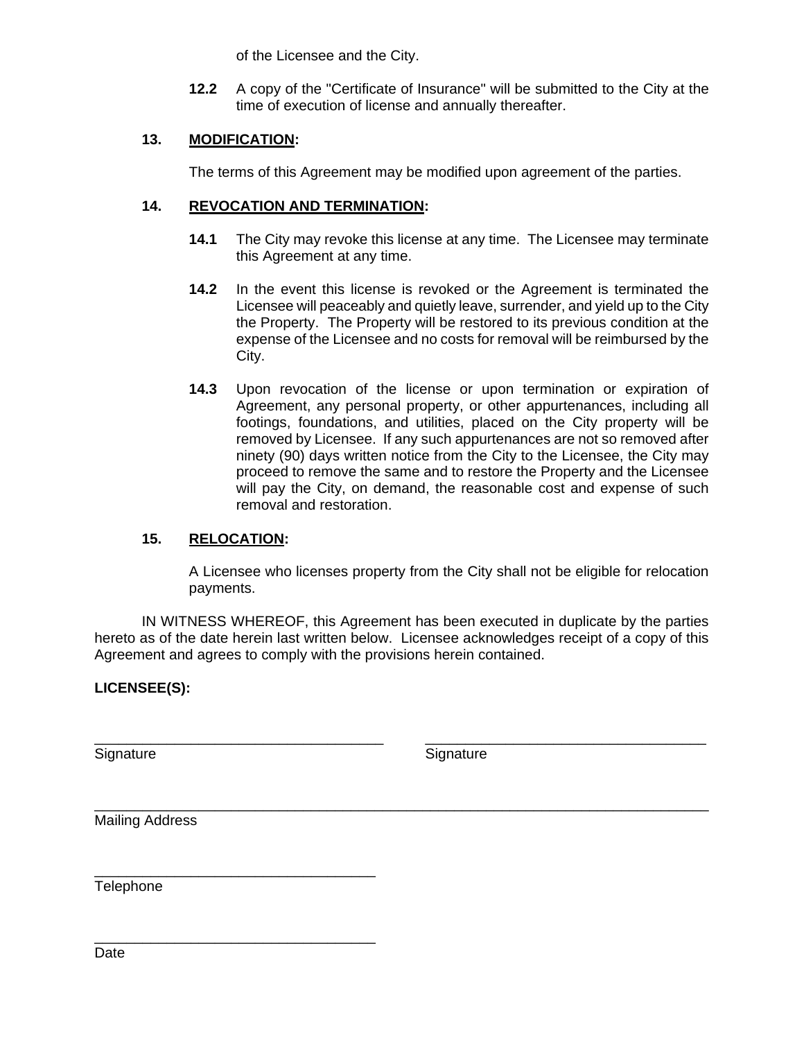of the Licensee and the City.

**12.2** A copy of the "Certificate of Insurance" will be submitted to the City at the time of execution of license and annually thereafter.

#### **13. MODIFICATION:**

The terms of this Agreement may be modified upon agreement of the parties.

#### **14. REVOCATION AND TERMINATION:**

- **14.1** The City may revoke this license at any time. The Licensee may terminate this Agreement at any time.
- **14.2** In the event this license is revoked or the Agreement is terminated the Licensee will peaceably and quietly leave, surrender, and yield up to the City the Property. The Property will be restored to its previous condition at the expense of the Licensee and no costs for removal will be reimbursed by the City.
- **14.3** Upon revocation of the license or upon termination or expiration of Agreement, any personal property, or other appurtenances, including all footings, foundations, and utilities, placed on the City property will be removed by Licensee. If any such appurtenances are not so removed after ninety (90) days written notice from the City to the Licensee, the City may proceed to remove the same and to restore the Property and the Licensee will pay the City, on demand, the reasonable cost and expense of such removal and restoration.

#### **15. RELOCATION:**

\_\_\_\_\_\_\_\_\_\_\_\_\_\_\_\_\_\_\_\_\_\_\_\_\_\_\_\_\_\_\_\_\_\_\_

\_\_\_\_\_\_\_\_\_\_\_\_\_\_\_\_\_\_\_\_\_\_\_\_\_\_\_\_\_\_\_\_\_\_\_

A Licensee who licenses property from the City shall not be eligible for relocation payments.

 IN WITNESS WHEREOF, this Agreement has been executed in duplicate by the parties hereto as of the date herein last written below. Licensee acknowledges receipt of a copy of this Agreement and agrees to comply with the provisions herein contained.

\_\_\_\_\_\_\_\_\_\_\_\_\_\_\_\_\_\_\_\_\_\_\_\_\_\_\_\_\_\_\_\_\_\_\_\_ \_\_\_\_\_\_\_\_\_\_\_\_\_\_\_\_\_\_\_\_\_\_\_\_\_\_\_\_\_\_\_\_\_\_\_

\_\_\_\_\_\_\_\_\_\_\_\_\_\_\_\_\_\_\_\_\_\_\_\_\_\_\_\_\_\_\_\_\_\_\_\_\_\_\_\_\_\_\_\_\_\_\_\_\_\_\_\_\_\_\_\_\_\_\_\_\_\_\_\_\_\_\_\_\_\_\_\_\_\_\_\_\_

## **LICENSEE(S):**

Signature Signature Signature Signature

Mailing Address

**Telephone**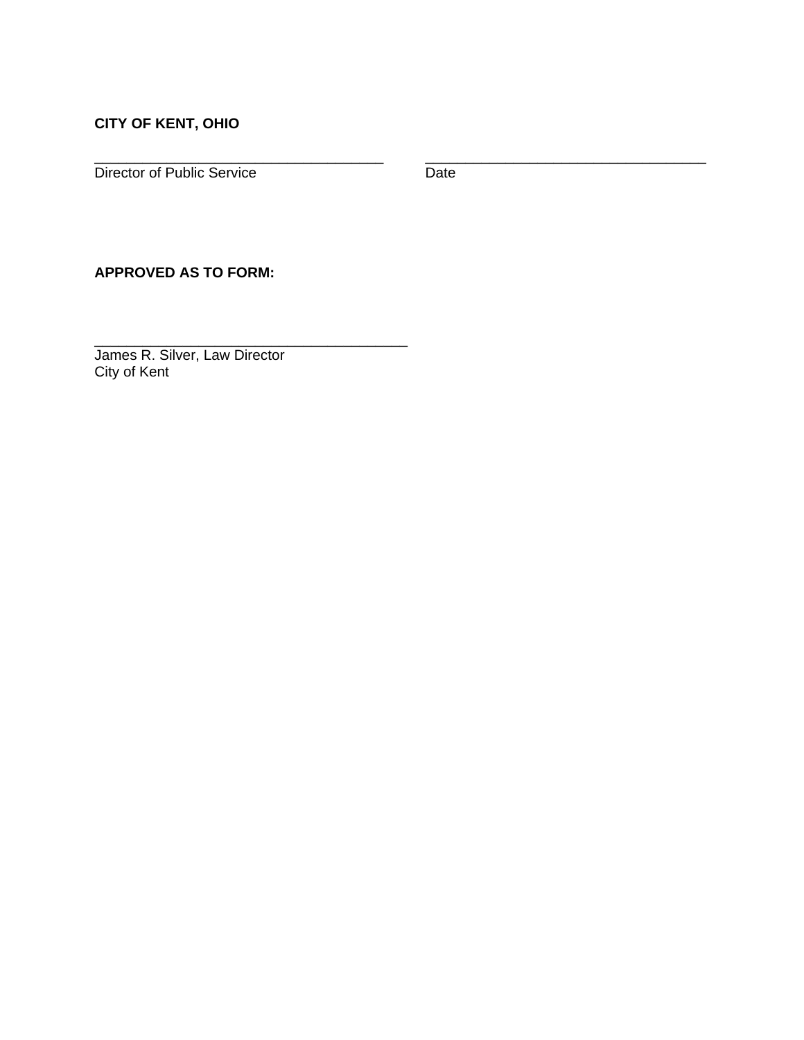# **CITY OF KENT, OHIO**

Director of Public Service Date

\_\_\_\_\_\_\_\_\_\_\_\_\_\_\_\_\_\_\_\_\_\_\_\_\_\_\_\_\_\_\_\_\_\_\_\_ \_\_\_\_\_\_\_\_\_\_\_\_\_\_\_\_\_\_\_\_\_\_\_\_\_\_\_\_\_\_\_\_\_\_\_

### **APPROVED AS TO FORM:**

James R. Silver, Law Director City of Kent

\_\_\_\_\_\_\_\_\_\_\_\_\_\_\_\_\_\_\_\_\_\_\_\_\_\_\_\_\_\_\_\_\_\_\_\_\_\_\_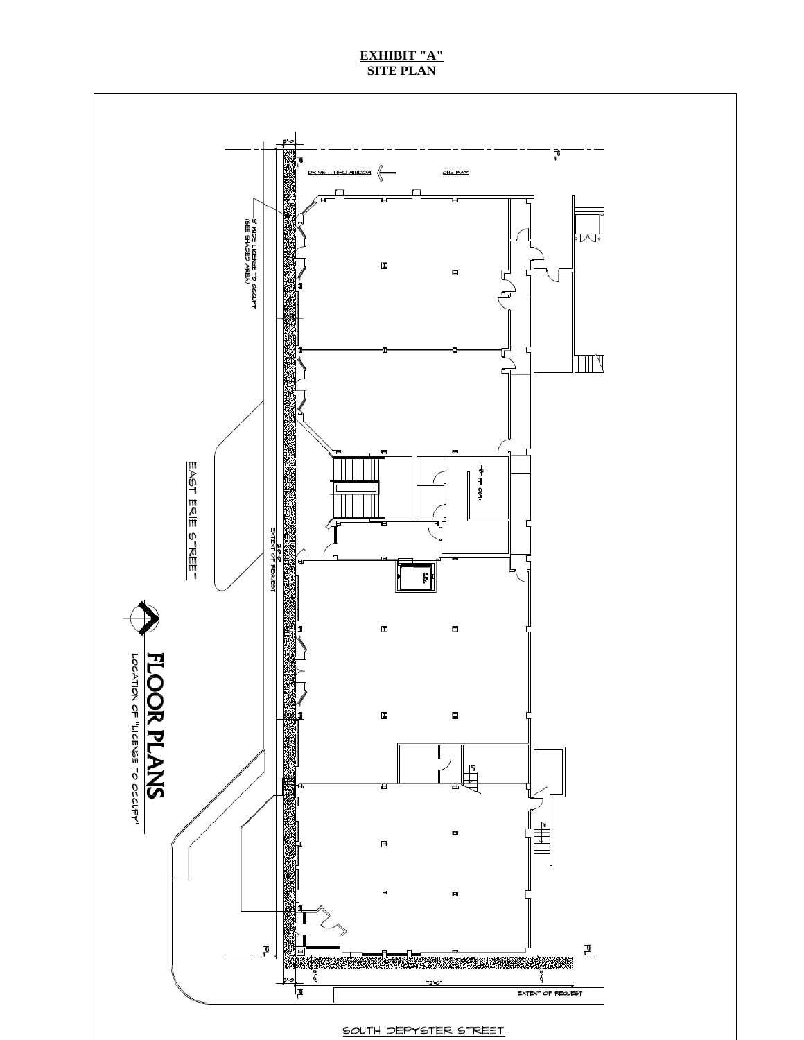#### **EXHIBIT "A" SITE PLAN**



SOUTH DEPYSTER STREET